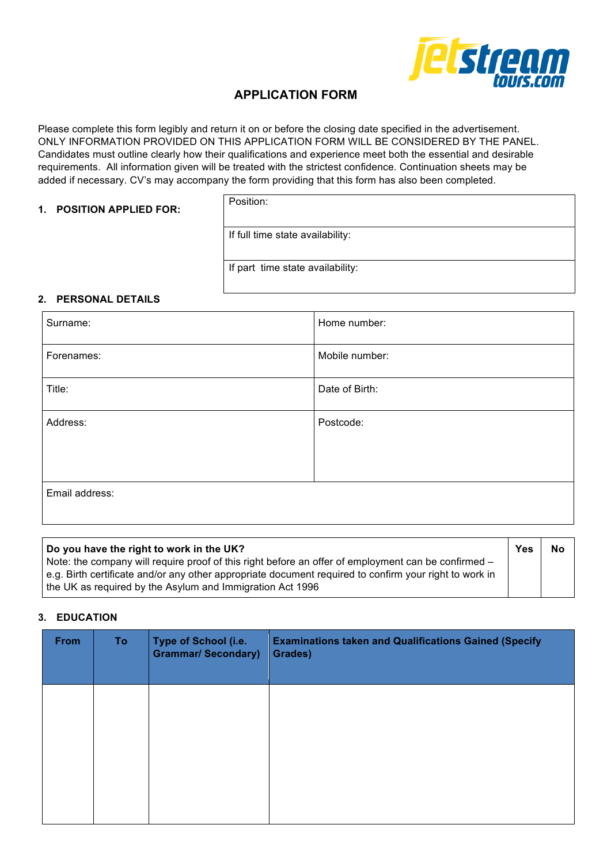

# **APPLICATION FORM**

Please complete this form legibly and return it on or before the closing date specified in the advertisement. ONLY INFORMATION PROVIDED ON THIS APPLICATION FORM WILL BE CONSIDERED BY THE PANEL. Candidates must outline clearly how their qualifications and experience meet both the essential and desirable requirements. All information given will be treated with the strictest confidence. Continuation sheets may be added if necessary. CV's may accompany the form providing that this form has also been completed.

### **1. POSITION APPLIED FOR:**

Position:

If full time state availability:

If part time state availability:

### **2. PERSONAL DETAILS**

| Surname:       | Home number:   |
|----------------|----------------|
| Forenames:     | Mobile number: |
| Title:         | Date of Birth: |
| Address:       | Postcode:      |
|                |                |
| Email address: |                |

| Do you have the right to work in the UK?                                                               | <b>Yes</b> | No |
|--------------------------------------------------------------------------------------------------------|------------|----|
| Note: the company will require proof of this right before an offer of employment can be confirmed –    |            |    |
| e.g. Birth certificate and/or any other appropriate document required to confirm your right to work in |            |    |
| the UK as required by the Asylum and Immigration Act 1996                                              |            |    |

### **3. EDUCATION**

| <b>From</b> | <b>To</b> | <b>Type of School (i.e.</b><br><b>Grammar/ Secondary)</b> | <b>Examinations taken and Qualifications Gained (Specify</b><br>Grades) |
|-------------|-----------|-----------------------------------------------------------|-------------------------------------------------------------------------|
|             |           |                                                           |                                                                         |
|             |           |                                                           |                                                                         |
|             |           |                                                           |                                                                         |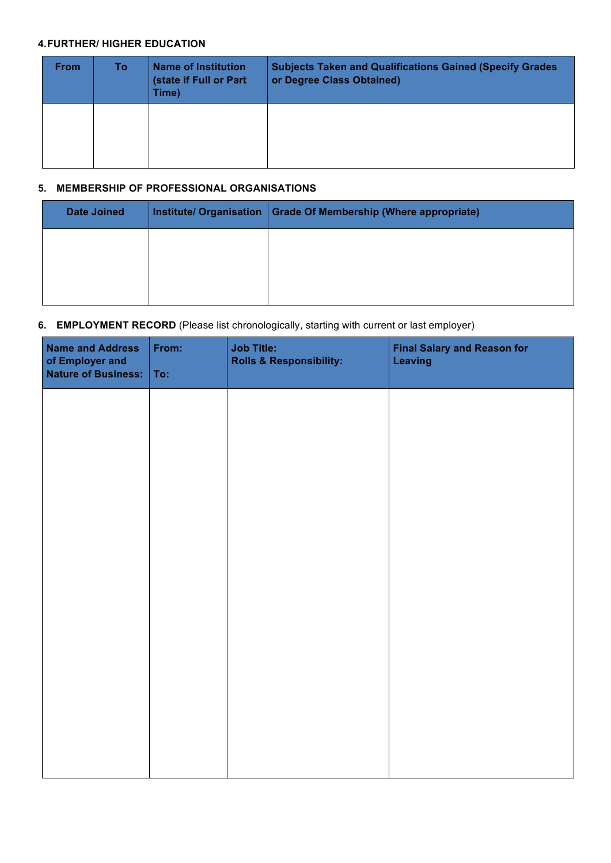### **4.FURTHER/ HIGHER EDUCATION**

| <b>From</b> | To l | <b>Name of Institution</b><br>(state if Full or Part<br>Time) | <b>Subjects Taken and Qualifications Gained (Specify Grades)</b><br>or Degree Class Obtained) |
|-------------|------|---------------------------------------------------------------|-----------------------------------------------------------------------------------------------|
|             |      |                                                               |                                                                                               |

### **5. MEMBERSHIP OF PROFESSIONAL ORGANISATIONS**

| <b>Date Joined</b> | Institute/ Organisation   Grade Of Membership (Where appropriate) |
|--------------------|-------------------------------------------------------------------|
|                    |                                                                   |
|                    |                                                                   |
|                    |                                                                   |

## **6. EMPLOYMENT RECORD** (Please list chronologically, starting with current or last employer)

| <b>Name and Address</b><br>of Employer and<br><b>Nature of Business:</b> | From:<br>To: | <b>Job Title:</b><br><b>Rolls &amp; Responsibility:</b> | <b>Final Salary and Reason for</b><br><b>Leaving</b> |
|--------------------------------------------------------------------------|--------------|---------------------------------------------------------|------------------------------------------------------|
|                                                                          |              |                                                         |                                                      |
|                                                                          |              |                                                         |                                                      |
|                                                                          |              |                                                         |                                                      |
|                                                                          |              |                                                         |                                                      |
|                                                                          |              |                                                         |                                                      |
|                                                                          |              |                                                         |                                                      |
|                                                                          |              |                                                         |                                                      |
|                                                                          |              |                                                         |                                                      |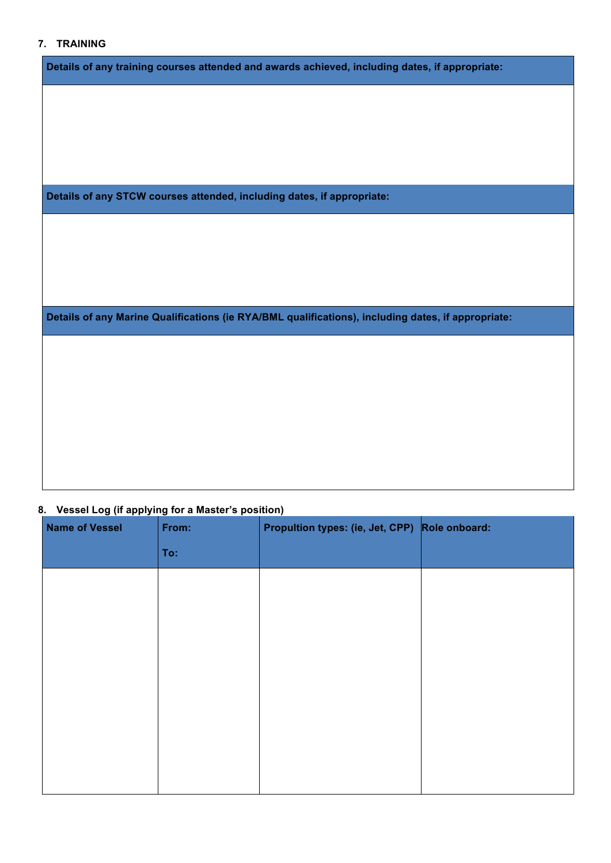# **7. TRAINING**

| 7. IRAININU                                                                                        |
|----------------------------------------------------------------------------------------------------|
| Details of any training courses attended and awards achieved, including dates, if appropriate:     |
|                                                                                                    |
|                                                                                                    |
|                                                                                                    |
|                                                                                                    |
| Details of any STCW courses attended, including dates, if appropriate:                             |
|                                                                                                    |
|                                                                                                    |
|                                                                                                    |
| Details of any Marine Qualifications (ie RYA/BML qualifications), including dates, if appropriate: |
|                                                                                                    |
|                                                                                                    |
|                                                                                                    |
|                                                                                                    |
|                                                                                                    |
|                                                                                                    |

# **8. Vessel Log (if applying for a Master's position)**

| <b>Name of Vessel</b> | From: | Propultion types: (ie, Jet, CPP) Role onboard: |  |
|-----------------------|-------|------------------------------------------------|--|
|                       | To:   |                                                |  |
|                       |       |                                                |  |
|                       |       |                                                |  |
|                       |       |                                                |  |
|                       |       |                                                |  |
|                       |       |                                                |  |
|                       |       |                                                |  |
|                       |       |                                                |  |
|                       |       |                                                |  |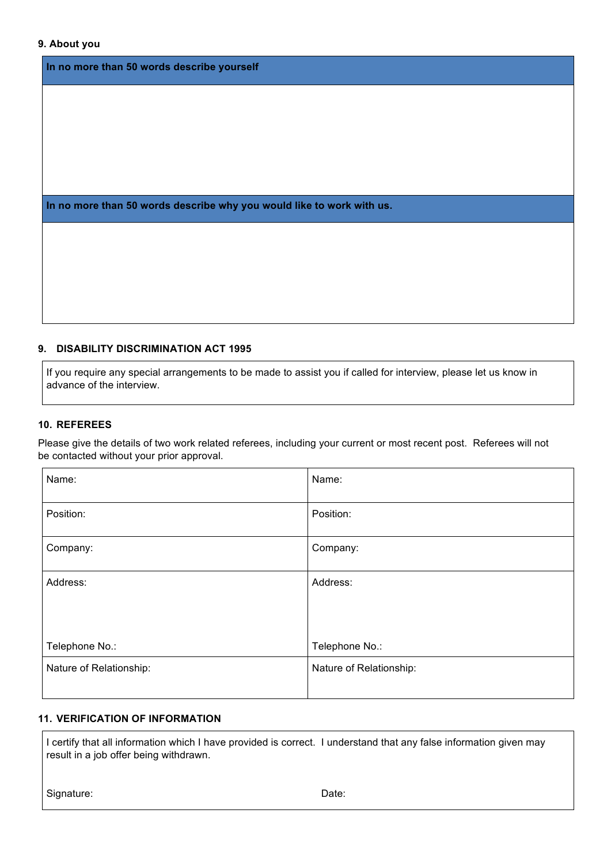#### **9. About you**

**In no more than 50 words describe yourself** 

**In no more than 50 words describe why you would like to work with us.** 

#### **9. DISABILITY DISCRIMINATION ACT 1995**

If you require any special arrangements to be made to assist you if called for interview, please let us know in advance of the interview.

#### **10. REFEREES**

Please give the details of two work related referees, including your current or most recent post. Referees will not be contacted without your prior approval.

| Name:                   | Name:                   |
|-------------------------|-------------------------|
| Position:               | Position:               |
| Company:                | Company:                |
| Address:                | Address:                |
| Telephone No.:          | Telephone No.:          |
| Nature of Relationship: | Nature of Relationship: |

## **11. VERIFICATION OF INFORMATION**

I certify that all information which I have provided is correct. I understand that any false information given may result in a job offer being withdrawn.

| Signature: | Date: |
|------------|-------|
|------------|-------|